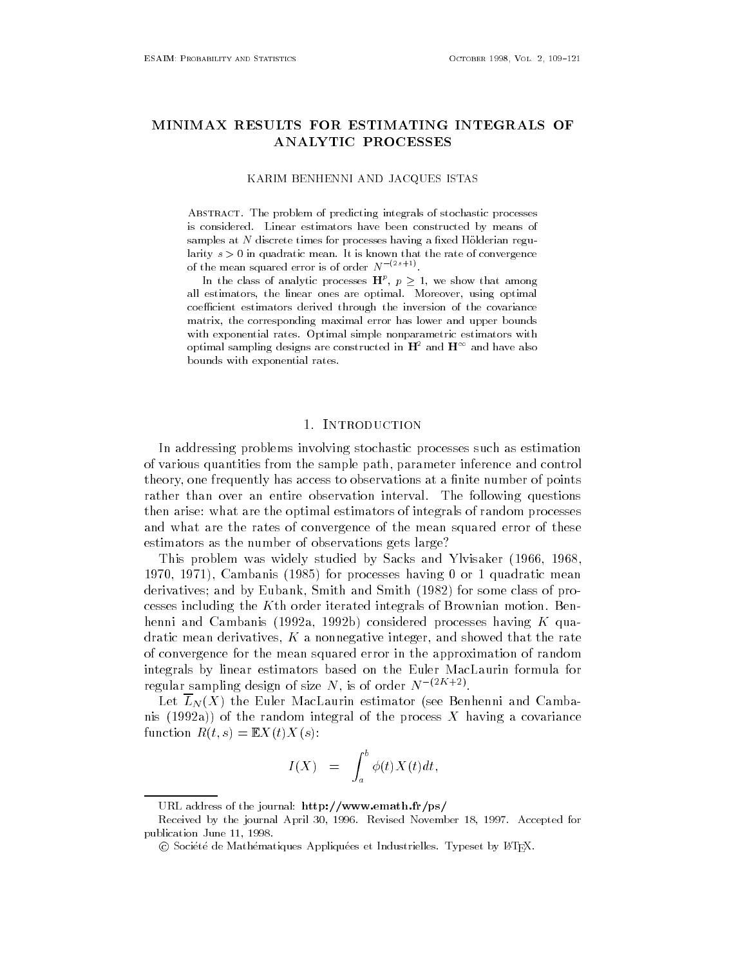# MINIMAX RESULTS FOR ESTIMATING INTEGRALS OF ANALYTIC PROCESSES

#### KARIM BENHENNI AND JACQUES ISTAS KARIM BENHENNI AND JACQUES ISTAS ISTAS ISTAS ISTAS ISTAS ISTAS ISTAS ISTAS ISTAS ISTAS ISTAS ISTAS ISTAS ISTAS ISTAS ISTAS ISTAS ISTAS ISTAS ISTAS ISTAS ISTAS ISTAS ISTAS ISTAS ISTAS ISTAS ISTAS ISTAS ISTAS ISTAS ISTAS IST

Abstract- The problem of predicting integrals of stochastic processes is considered- Linear estimators have been constructed by means of samples at  $N$  discrete times for processes having a fixed Hölderian regularity s - in quadratic mean- It is known that the rate of convergence of the mean squared error is of order  $N_{\rm{t}}$  and  $N_{\rm{t}}$ 

In the class of analytic processes  $\mathbf{n}^i$ ,  $p\geq 1$ , we show that among all estimators the linear ones are optimal- Moreover using optimal coefficient estimators derived through the inversion of the covariance matrix, the corresponding maximal error has lower and upper bounds with exponential rates-simple nonparametric estimators with a simple nonparametric estimators with  $\mathbf{r}$ optimal sampling designs are constructed in  $\Pi$  and  $\Pi$  - and have also bounds with exponential rates.

# 1. INTRODUCTION

In addressing problems involving stochastic processes such as estimation of various quantities from the sample path- parameter inference and control theory- one frequently has access to observations at a nite number of points rather than over an entire observation interval. The following questions then arise: what are the optimal estimators of integrals of random processes and what are the rates of convergence of the mean squared error of these estimators as the number of observations gets large

This problem was widely studied by Sacks and Ylvisaker and Ylvisaker and Ylvisaker and Ylvisaker and Ylvisaker  $\mathbf{r}$  is a formulation of processes in the cambridge of  $\mathbf{r}$ derivatives and by Eubank-Smith and Smith and Smith and Smith And Smith And Smith And Smith And Smith And Smith cesses including the K<sup>th</sup> order iterated integrals of Brownian motion. Benhenni and cambanis (1992a) 1992, considered processes having it qua a non-mean derivatives, a nonnegative meager, and showed that the rate that the of convergence for the mean squared error in the approximation of random integrals by linear estimators based on the Euler MacLaurin formula for regular sampling design of size  $N$ , is of order  $N$   $\sim$   $\sim$   $\sim$  .

Let  $\overline{L}_N(X)$  the Euler MacLaurin estimator (see Benhenni and Cambanis (1992a)) of the random integral of the process X having a covariance  $\lim_{t \to \infty} I(t, s) = \max_{t \in \mathcal{X}} \{t \mid s\}.$ 

$$
I(X) \;\; = \;\; \int_a^b \phi(t) \, X(t) \, dt,
$$

urlie the state of the journal company of the statement of pay

 $\mathcal{R}$  and  $\mathcal{R}$  are vised notation of the journal April 1 and 1 and 1 and 1 and 1 and 1 and 1 and 1 and 1 and 1 and 1 and 1 and 1 and 1 and 1 and 1 and 1 and 1 and 1 and 1 and 1 and 1 and 1 and 1 and 1 and 1 and 1 a publication June 11, 1998.

C Societe de Mathematiques Appliquees et Industrielles. Typeset by ETEA.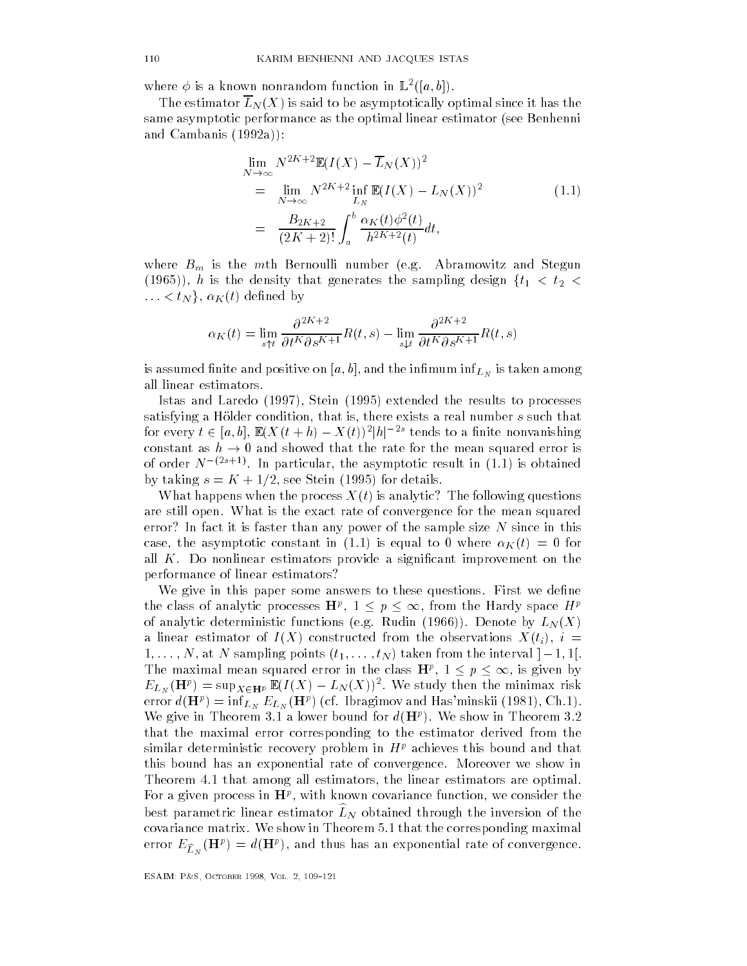where  $\varphi$  is a known nonrandom function in  $\mathbb{L} \setminus \{a, b\}$ .

The estimator  $\overline{L}_N(X)$  is said to be asymptotically optimal since it has the same asymptotic performance as the optimal linear estimator (see Benhenni and Cambanis  $(1992a)$ :

$$
\lim_{N \to \infty} N^{2K+2} \mathbb{E}(I(X) - \overline{L}_N(X))^2
$$
\n
$$
= \lim_{N \to \infty} N^{2K+2} \inf_{L_N} \mathbb{E}(I(X) - L_N(X))^2
$$
\n
$$
= \frac{B_{2K+2}}{(2K+2)!} \int_a^b \frac{\alpha_K(t)\phi^2(t)}{h^{2K+2}(t)} dt,
$$
\n(1.1)

where  $B_m$  is the mth Bernoulli number (e.g. Abramowitz and Stegun (1965)),  $h$  is the density that generates the sampling design  $\{t_1\,<\ t_2\,<\,$  $\ldots < t_N\},\, \alpha_K(t)$  defined by

$$
\alpha_K(t) = \lim_{s \uparrow t} \frac{\partial^{2K+2}}{\partial t^K \partial s^{K+1}} R(t,s) - \lim_{s \downarrow t} \frac{\partial^{2K+2}}{\partial t^K \partial s^{K+1}} R(t,s)
$$

is assumed nitre and positive on  $[u,v]$ , and the inmum inf $L_N$  is taken among all linear estimators

 $\Box$  . The results to processes and  $\Box$ rating in Holder condition- that is a real number shows a real number s such that is a real number for every  $t \in [a, b]$ ,  $\mathbb{E}(X(t+h) - X(t))^2|h|^{-2s}$  tends to a finite nonvanishing constant as  $h \to 0$  and showed that the rate for the mean squared error is of order *i*ve the *l*. In particular, the asymptotic result in (1.1) is obtained by the set of set of  $\mathcal{L}$  , and  $\mathcal{L}$  is the set of  $\mathcal{L}$  . Set of  $\mathcal{L}$ 

What happens when the process  $X(t)$  is analytic? The following questions are still open. What is the exact rate of convergence for the mean squared error? In fact it is faster than any power of the sample size  $N$  since in this  $\alpha$  as asymptotic constant in  $(\pm 1 \pm 1)$  is equal to  $\alpha$  where  $\alpha_{11}$   $(\cdot)$  and  $\alpha_{22}$ all K. Do nonlinear estimators provide a significant improvement on the performance of linear estimators

We give in this paper some answers to these questions. First we define the class of analytic processes  $\mathbf{H}^p,~1\leq p\leq\infty,$  from the Hardy space  $H^p$ of analytic deterministic functions  $\{ \circ \phi \}$ , statin  $\{ \bullet \circ \circ \circ \}$ , equators by  $\Xi_{N}(\cdot)$ a linear estimator of I  $\{1, 1\}$  , the observation observations  $\{1, 1\}$  , the observations  $\{1, 1\}$  , the observation of  $\{1, 1\}$  $1, \ldots, N$ , at IV sampling points  $(i_1, \ldots, i_N)$  taken from the interval  $[-1, 1]$ . The maximal mean squared error in the class  $\mathbf{H}^p$ ,  $1 \leq p \leq \infty$ , is given by  $E_{L_N}({\bf H}^p)=\sup_{X\in {\bf H}^p}\mathbb{E}(I(X)-L_N(X))^2.$  We study then the minimax risk error  $d(\mathbf{H}^p)=\inf_{L_N} E_{L_N}(\mathbf{H}^p)$  (cf. 1bragimov and Has'minskii (1981), Ch.1). We give in Theorem 3.1 a lower bound for  $d(\mathbf{H}^p)$ . We show in Theorem 3.2 that the maximal error corresponding to the estimator derived from the similar deterministic recovery problem in  $H<sup>p</sup>$  achieves this bound and that this bound has an exponential rate of convergence Moreover we show in Theorem that among all estimators- the linear estimators are optimal For a given process in  $\mathbf{H}^{p},$  with known covariance function, we consider the best parametric iniear estimator  $L_N$  obtained through the inversion of the covariance matrix. We show in Theorem 5.1 that the corresponding maximal error  $E_{\widehat{L}_N}({\bf H}^p)=d({\bf H}^p),$  and thus has an exponential rate of convergence.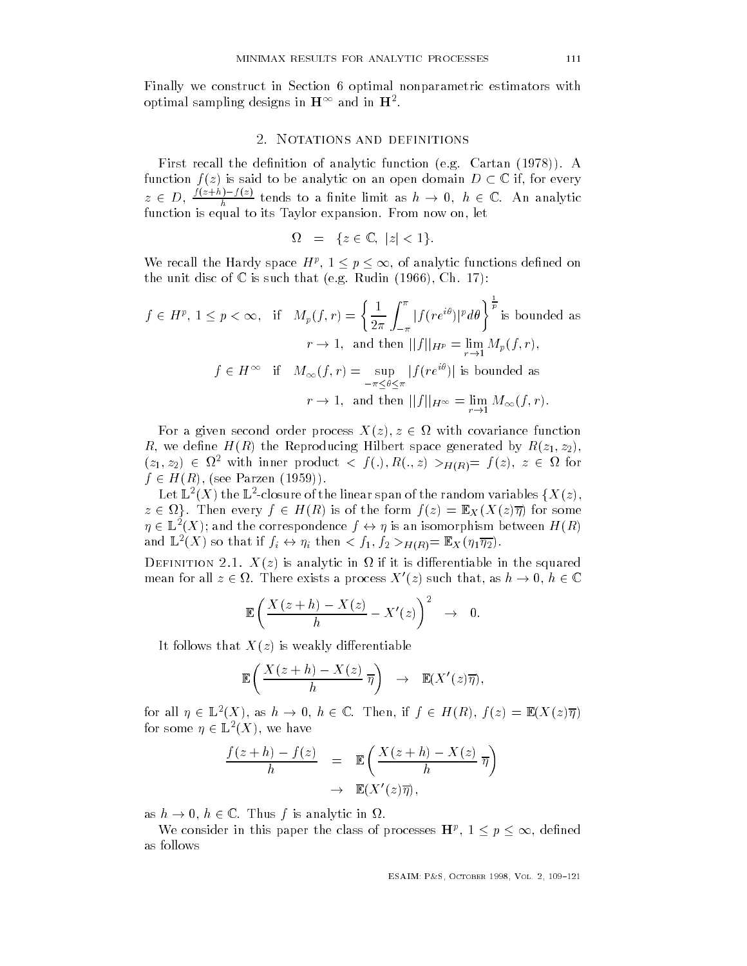Finally we construct in Section optimal nonparametric estimators with optimal sampling designs in  $H^{\infty}$  and in  $H^2$ .

# 2. NOTATIONS AND DEFINITIONS

First recall the definition of analytic function (e.g. Cartan  $(1978)$ ). A function  $f(z)$  is said to be analytic on an open domain  $D\subset\mathbb{C}$  if, for every  $z \in D$ ,  $\frac{z \leftarrow -\frac{1}{h}}{h}$  tends to a finite limit as  $h \to 0$ ,  $h \in \mathbb{C}$ . An analytic function is equal to its Taylor expansion From now on- let

$$
\Omega = \{ z \in \mathbb{C}, \ |z| < 1 \}.
$$

We recall the Hardy space  $H^p$ ,  $1 \leq p \leq \infty$ , of analytic functions defined on  $\blacksquare$  . The unit disc of  $\blacksquare$  is such that equation is such that equation is such that equation is such that  $\blacksquare$ 

$$
f \in H^p, 1 \le p < \infty, \text{ if } M_p(f, r) = \left\{ \frac{1}{2\pi} \int_{-\pi}^{\pi} |f(re^{i\theta})|^p d\theta \right\}^{\frac{1}{p}} \text{ is bounded as}
$$

$$
r \to 1, \text{ and then } ||f||_{H^p} = \lim_{r \to 1} M_p(f, r),
$$

$$
f \in H^{\infty} \text{ if } M_{\infty}(f, r) = \sup_{-\pi \le \theta \le \pi} |f(re^{i\theta})| \text{ is bounded as}
$$

$$
r \to 1, \text{ and then } ||f||_{H^{\infty}} = \lim_{r \to 1} M_{\infty}(f, r).
$$

For a given second order process  $X(z)$ ,  $z \in \Omega$  with covariance function  $\mu$ , we denne  $\mu$  ( $\mu$ ) are reproducing Hilbert space generated by  $\mu$ ( $\approx$ 1, $\approx$ 2),  $(z_1, z_2) \in \Omega^2$  with inner product  $\langle f(.) , R(.) , \rangle >_{H(R)} = f(z), z \in \Omega$  for  $f \in H(R)$ , (see Parzen (1959)).

Let  $\mathbb{L}^2(X)$  the  $\mathbb{L}^2$ -closure of the linear span of the random variables  $\{X(z),$  $z \in \Omega$ }. Then every  $f \in H(R)$  is of the form  $f(z) = \mathbb{E}_X (X(z)\overline{\eta})$  for some  $\eta \in L^2(X)$ ; and the correspondence  $f \leftrightarrow \eta$  is an isomorphism between  $H(R)$ and  $\mathbb{L}^*(X)$  so that if  $j_i \leftrightarrow \eta_i$  then  $\langle j_1, j_2 \rangle_{H(R)} = \mathbb{L} \chi(\eta_1 \eta_2)$ .

DEFINITION 2.1.  $\Lambda(z)$  is analytic in  $\Omega$  if it is differentiable in the squared mean for all  $z \in \Omega$ . There exists a process  $X'(z)$  such that, as  $h \to 0$ ,  $h \in \mathbb{C}$ 

$$
\mathbb{E}\left(\frac{X(z+h)-X(z)}{h}-X'(z)\right)^2 \rightarrow 0.
$$

It follows that  $X(z)$  is weakly differentiable

$$
\mathbb{E}\left(\frac{X(z+h)-X(z)}{h}\,\overline{\eta}\right) \quad \to \quad \mathbb{E}(X'(z)\overline{\eta}),
$$

for all  $\eta \in L^2(X)$ , as  $h \to 0$ ,  $h \in \mathbb{C}$ . Then, if  $f \in H(R)$ ,  $f(z) = \mathbb{E}(X(z)\overline{\eta})$ for some  $\eta \in \mathbb{L}^2(X)$  , we have

$$
\frac{f(z+h) - f(z)}{h} = \mathbb{E}\left(\frac{X(z+h) - X(z)}{h}\overline{\eta}\right)
$$

$$
\to \mathbb{E}(X'(z)\overline{\eta}),
$$

as  $h \to 0$ ,  $h \in \mathbb{C}$ . Thus f is analytic in  $\Omega$ .

We consider in this paper the class of processes  $\mathbf{H}^p, \ 1 \leq p \leq \infty$ , defined as follows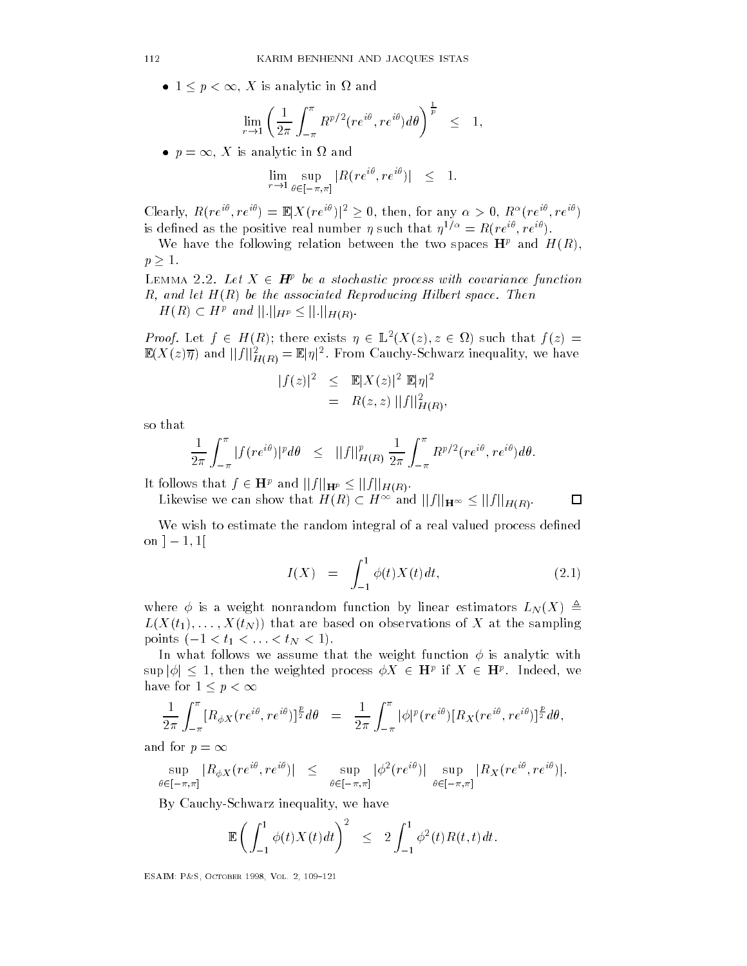$\bullet\; 1\leq p<\infty,\, X$  is analytic in  $\Omega$  and

$$
\lim_{r \to 1} \left( \frac{1}{2\pi} \int_{-\pi}^{\pi} R^{p/2} (re^{i\theta}, re^{i\theta}) d\theta \right)^{\frac{1}{p}} \leq 1,
$$

 $\bullet$   $p = \infty$ ,  $\Lambda$  is analytic in  $\Lambda$  and

$$
\lim_{r \to 1} \sup_{\theta \in [-\pi,\pi]} |R(re^{i\theta},re^{i\theta})| \leq 1.
$$

Clearly,  $R(re^{i\theta},re^{i\theta}) = \mathbb{E}|X(re^{i\theta})|^2 \geq 0,$  then, for any  $\alpha > 0,$   $R^{\alpha}(re^{i\theta},re^{i\theta})$ is defined as the positive real number  $\eta$  such that  $\eta$   $\ell^- = \mathbb{R}$  (ref).

We have the following relation between the two spaces  $\mathbf{H}^p$  and  $H(R)$ ,  $p\geq 1$ .

LEMMA 2.2. Let  $X \in H^{\nu}$  be a stochastic process with covariance function  $R_+$  and let  $H_+R_+$  be the associated Reproducing Hilbert space. Then  $H(R) \subset H^p$  and  $||.||_{H^p} \leq ||.||_{H(R)}$ .

Proof. Let  $f \in H(R)$ ; there exists  $\eta \in L^2(X(\overline{z}), \overline{z} \in \Omega)$  such that  $f(\overline{z}) =$  $\mathbb{E}(X(z)\overline{\eta})$  and  $||f||^2_{H(R)}=\mathbb{E}|\eta|^2.$  From Cauchy-Schwarz inequality, we have

$$
|f(z)|^2 \leq \mathbb{E}|X(z)|^2 \mathbb{E}|\eta|^2
$$
  
=  $R(z, z) ||f||_{H(R)}^2$ ,

$$
\frac{1}{2\pi}\int_{-\pi}^{\pi}|f(re^{i\theta})|^p d\theta \leq ||f||^p_{H(R)}\frac{1}{2\pi}\int_{-\pi}^{\pi}R^{p/2}(re^{i\theta},re^{i\theta})d\theta.
$$

It follows that  $f \in \mathbf{H}^p$  and  $||f||_{\mathbf{H}^p} \leq ||f||_{H(R)}$ .

Likewise we can show that  $H(R) \subset H^\infty$  and  $||f||_{\mathbf{H}^\infty} \leq ||f||_{H(R)}.$  $\Box$ 

We wish to estimate the random integral of a real valued process defined  $\cup$   $\Box$   $\bot$ ,  $\bot$ 

$$
I(X) = \int_{-1}^{1} \phi(t) X(t) dt, \qquad (2.1)
$$

where  $\phi$  is a weight nonrandom function by linear estimators  $L_N(X) \triangleq$  $L(X(t_1), \ldots, X(t_N))$  that are based on observations of X at the sampling points  $(-1 < t_1 < \ldots < t_N < 1)$ .

In what follows we assume that the weight function  $\phi$  is analytic with  $\sup |\phi| \leq 1$ , then the weighted process  $\phi X \, \in \, {\rm H}^{p}$  if  $X \, \in \, {\rm H}^{p}$ . Indeed, we have for  $1 \leq p < \infty$ 

$$
\frac{1}{2\pi}\int_{-\pi}^{\pi}[R_{\phi X}(re^{i\theta},re^{i\theta})]^{\frac{p}{2}}d\theta = \frac{1}{2\pi}\int_{-\pi}^{\pi}|\phi|^{p}(re^{i\theta})[R_{X}(re^{i\theta},re^{i\theta})]^{\frac{p}{2}}d\theta,
$$

and for  $p=\infty$ 

$$
\sup_{\theta \in [-\pi,\pi]} |R_{\phi X}(re^{i\theta}, re^{i\theta})| \leq \sup_{\theta \in [-\pi,\pi]} |\phi^2(re^{i\theta})| \sup_{\theta \in [-\pi,\pi]} |R_X(re^{i\theta}, re^{i\theta})|.
$$

we have the community of the community of the second contract of the contract of the contract of the contract of

$$
\mathbb{E}\left(\int_{-1}^1 \phi(t)X(t)dt\right)^2 \leq 2\int_{-1}^1 \phi^2(t)R(t,t)dt.
$$

ESAIM- PS October Vol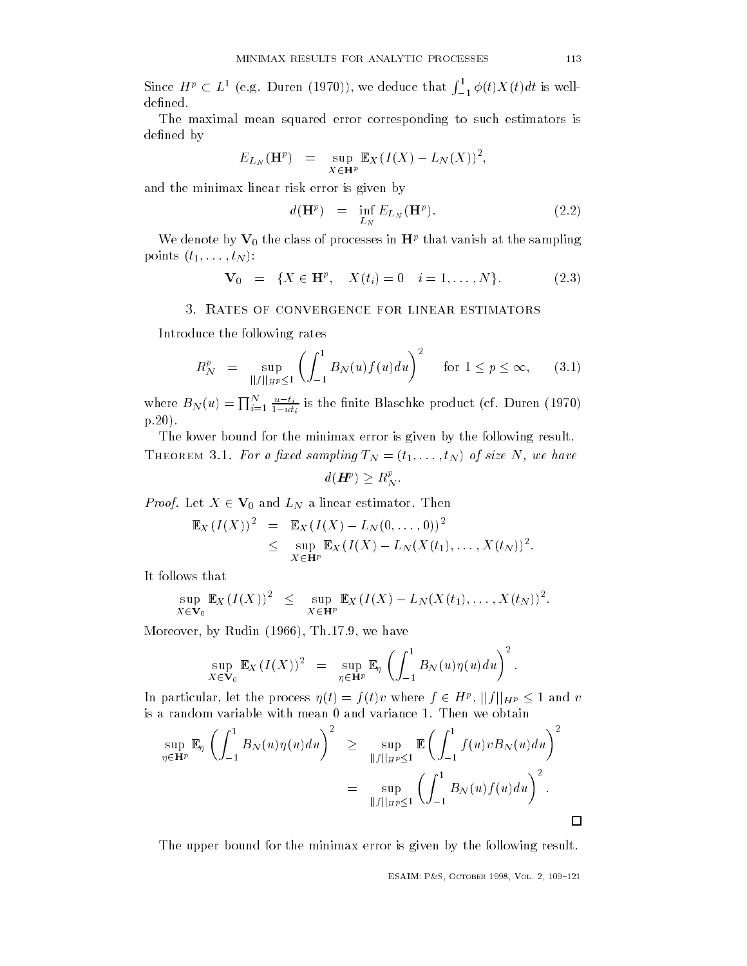Since  $H^p\subset L^1$  (e.g. Duren (1970)), we deduce that  $\int_{-1}^1\phi(t)X(t)dt$  is well-

The maximal mean squared error corresponding to such estimators is defined by

$$
E_{L_N}(\mathbf{H}^p) = \sup_{X \in \mathbf{H}^p} \mathbb{E}_X (I(X) - L_N(X))^2,
$$

and the minimax linear risk error is given by

$$
d(\mathbf{H}^p) = \inf_{L_N} E_{L_N}(\mathbf{H}^p). \tag{2.2}
$$

We denote by  $\mathbf{V}_0$  the class of processes in  $\mathbf{H}^{p}$  that vanish at the sampling  $P^{\text{out}}$  to  $\{v_1, \ldots, v_N\}$ .

$$
\mathbf{V}_0 = \{ X \in \mathbf{H}^p, \quad X(t_i) = 0 \quad i = 1, \dots, N \}. \tag{2.3}
$$

#### 3. Rates of convergence for linear estimators

Introduce the following rates

$$
R_N^p = \sup_{\|f\|_{H^p} \le 1} \left( \int_{-1}^1 B_N(u) f(u) du \right)^2 \quad \text{for } 1 \le p \le \infty,
$$
 (3.1)

where  $B_N(u) = \prod_{i=1}^N \frac{u - t_i}{1 - ut_i}$  is the finite Blaschke product (cf. Duren (1970)  $p.20$ .

The lower bound for the minimax error is given by the following result **THEOREM 5.1.** For a fixed sampling  $I_N = (t_1, \ldots, t_N)$  of size  $N$ , we have

$$
d({\bm{H}}^p) \geq R^p_N.
$$

*Proof.* Let  $X \in \mathbf{V}_0$  and  $L_N$  a linear estimator. Then

$$
\mathbb{E}_X(I(X))^2 = \mathbb{E}_X(I(X) - L_N(0, ..., 0))^2 \leq \sup_{X \in \mathbf{H}^p} \mathbb{E}_X(I(X) - L_N(X(t_1), ..., X(t_N))^2.
$$

It follows that

$$
\sup_{X \in \mathbf{V}_0} \mathbb{E}_X (I(X))^2 \leq \sup_{X \in \mathbf{H}^p} \mathbb{E}_X (I(X) - L_N(X(t_1), \dots, X(t_N))^2).
$$

more that the state of the state of the state of the state of the state of the state of the state of the state of the state of the state of the state of the state of the state of the state of the state of the state of the

$$
\sup_{X\in\mathbf{V}_0}\mathbb{E}_X(I(X))^2 = \sup_{\eta\in\mathbf{H}^p}\mathbb{E}_\eta\left(\int_{-1}^1B_N(u)\eta(u)du\right)^2.
$$

In particular, let the process  $\eta(t) = f(t)v$  where  $f \in H^p$ ,  $||f||_{H^p} \leq 1$  and  $v$ is a random variable with mean 0 and variance 1. Then we obtain

$$
\sup_{\eta \in \mathbf{H}^p} \mathbb{E}_{\eta} \left( \int_{-1}^1 B_N(u) \eta(u) du \right)^2 \geq \sup_{\|f\|_{H^p} \leq 1} \mathbb{E} \left( \int_{-1}^1 f(u) v B_N(u) du \right)^2
$$
  
= 
$$
\sup_{\|f\|_{H^p} \leq 1} \left( \int_{-1}^1 B_N(u) f(u) du \right)^2.
$$

The upper bound for the minimax error is given by the following result.

 $\Box$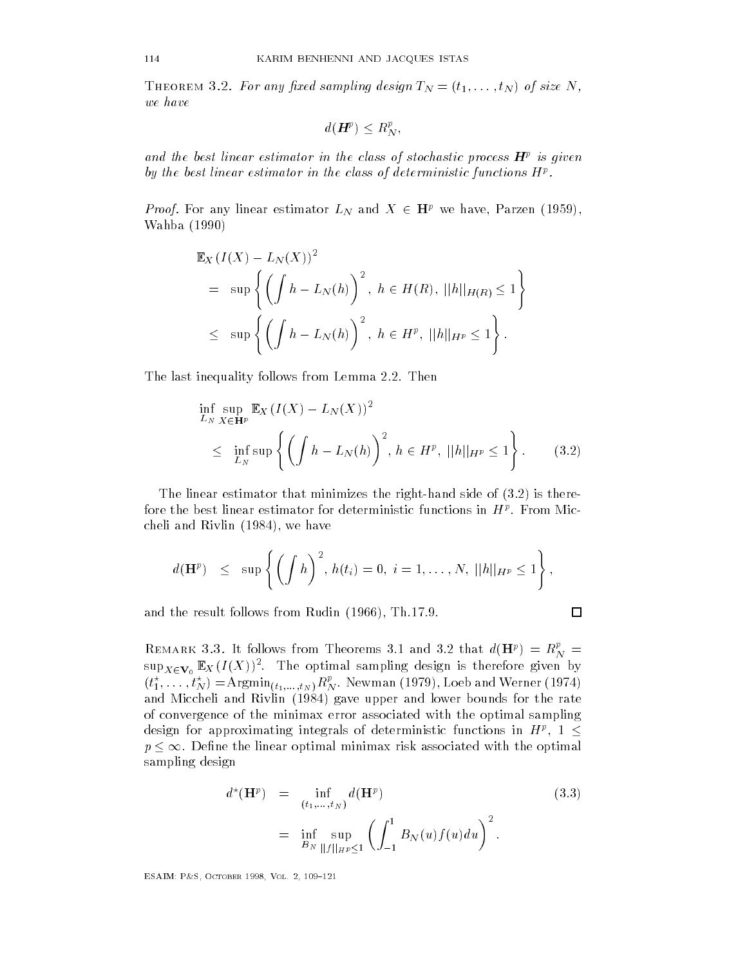**THEOREM** 3.2. For any fixed sampling design  $I_N = (t_1, \ldots, t_N)$  of size  $N$ , we have

$$
d(\boldsymbol{H}^p) \leq R_N^p,
$$

and the best tinear estimator in the class of stochastic process  $\mathbf{H}^\varepsilon$  is qiven by the best intear estimator in the class of deterministic functions  $H^p$ .

*Proof.* For any linear estimator  $L_N$  and  $X \in \mathbf{H}^p$  we have, Parzen (1959), Wahba 

$$
\mathbb{E}_X (I(X) - L_N(X))^2 = \sup \left\{ \left( \int h - L_N(h) \right)^2, \ h \in H(R), ||h||_{H(R)} \le 1 \right\} \le \sup \left\{ \left( \int h - L_N(h) \right)^2, \ h \in H^p, ||h||_{H^p} \le 1 \right\}.
$$

The last inequality follows from Lemma 2.2. Then

$$
\inf_{L_N} \sup_{X \in \mathbf{H}^p} \mathbb{E}_X \left( I(X) - L_N(X) \right)^2
$$
\n
$$
\leq \inf_{L_N} \sup \left\{ \left( \int h - L_N(h) \right)^2, \, h \in H^p, \, ||h||_{H^p} \leq 1 \right\}. \tag{3.2}
$$

The linear estimator that minimizes the right-hand side of  $(3.2)$  is therefore the best linear estimator for deterministic functions in  $H^*$ . From Miccheli and Rivin River and River and River and River and River and River and River and River and River and River

$$
d(\mathbf{H}^p) \leq \sup \left\{ \left( \int h \right)^2, h(t_i) = 0, i = 1, ..., N, ||h||_{H^p} \leq 1 \right\},\
$$

and the result follows from Rudin  $\mathbf{r}$  follows from Rudin  $\mathbf{r}$  and  $\mathbf{r}$ 

REMARK 3.3. It follows from Theorems 3.1 and 3.2 that  $d(\mathbf{H}^p) \, = \, R_N^p \, = \,$  $\sup_{X \in \mathbf{V}_0} \mathbb{E}_X(I(X))$  . The optimal sampling design is therefore given by  $(t_1^*,\ldots,t_N^*) = \text{Argmin}_{(t_1,\ldots,t_N)} K_N^*$ . Newman (1979), Loeb and Werner (1974) and Miccheli and Rivlin (1984) gave upper and lower bounds for the rate of convergence of the minimax error associated with the optimal sampling design for approximating integrals of deterministic functions in  $H^p$ ,  $1 \leq$  $p \leq \infty$ . Define the linear optimal minimax risk associated with the optimal sampling design

$$
d^{*}(\mathbf{H}^{p}) = \inf_{(t_{1},...,t_{N})} d(\mathbf{H}^{p})
$$
\n
$$
= \inf_{B_{N}} \sup_{||f||_{H}p \leq 1} \left( \int_{-1}^{1} B_{N}(u) f(u) du \right)^{2}.
$$
\n(3.3)

ESAIM- PS October Vol 

$$
\Box
$$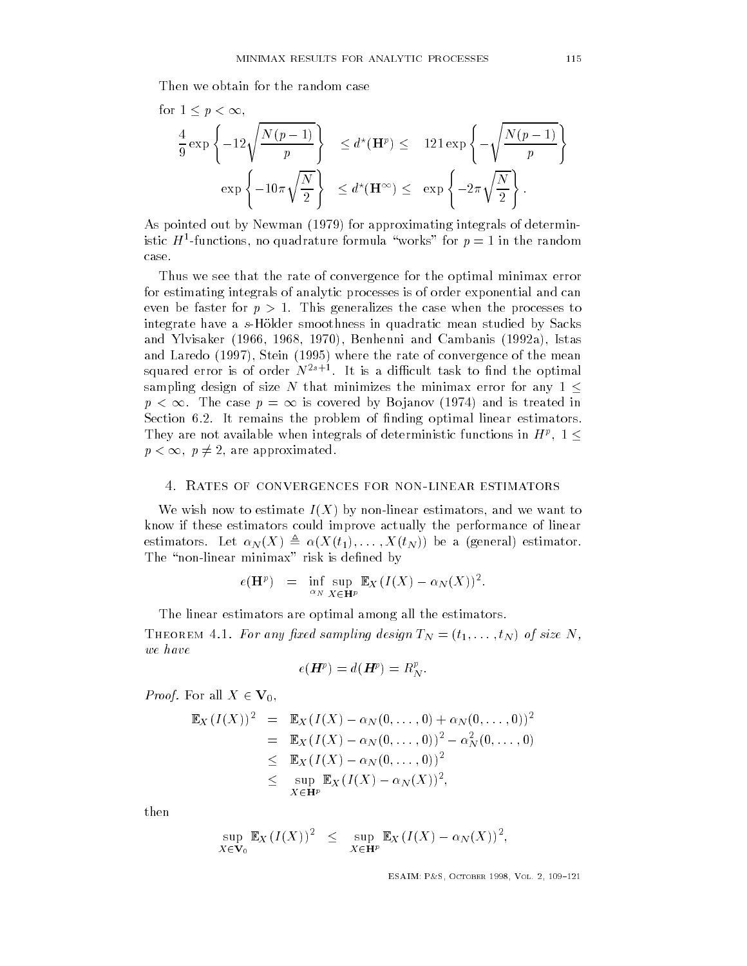Then we obtain for the random case

for 
$$
1 \le p < \infty
$$
,  
\n
$$
\frac{4}{9} \exp \left\{-12\sqrt{\frac{N(p-1)}{p}}\right\} \le d^{\star}(\mathbf{H}^{p}) \le 121 \exp \left\{-\sqrt{\frac{N(p-1)}{p}}\right\}
$$
\n
$$
\exp \left\{-10\pi\sqrt{\frac{N}{2}}\right\} \le d^{\star}(\mathbf{H}^{\infty}) \le \exp \left\{-2\pi\sqrt{\frac{N}{2}}\right\}.
$$

As pointed out by Newman (1979) for approximating integrals of deterministic H  $\sim$  -runctions, no quadrature formula works for  $p = 1$  in the random case

Thus we see that the rate of convergence for the optimal minimax error for estimating integrals of analytic processes is of order exponential and can even be faster for  $p > 1$ . This generalizes the case when the processes to integrate have a  $s$ -Hölder smoothness in quadratic mean studied by Sacks and Ylvisaker  $\mathbf{A}$  and  $\mathbf{B}$  and  $\mathbf{A}$  and  $\mathbf{B}$  and  $\mathbf{A}$  and  $\mathbf{B}$  and  $\mathbf{B}$  and  $\mathbf{B}$  and  $\mathbf{B}$  and  $\mathbf{B}$  and  $\mathbf{B}$  and  $\mathbf{B}$  and  $\mathbf{B}$  and  $\mathbf{B}$  and  $\mathbf{B}$  and  $\mathbf{B}$  and and Laredo  $\mathcal{L}$  is the rate of the rate of the rate of the mean  $\mathcal{L}$  the mean  $\mathcal{L}$ squared error is of order  $N-1$  . It is a difficult task to find the optimal sampling design of size N that minimizes the minimax error for any  $1 \leq$  $p~<~\infty$ . The case  $p~=~\infty$  is covered by Bojanov (1974) and is treated in Section It remains the problem of nding optimal linear estimators They are not available when integrals of deterministic functions in  $H^p, \ 1\leq$  $p < \infty, \; p \neq 2,$  are approximated.

wish the mean to the estimate I and  $\mu$  by non-linear estimators-component to want to know if these estimators could improve actually the performance of linear csumators. Let  $\alpha_N(\lambda) = \alpha(\lambda(v_1), \ldots, \lambda(v_N))$  be a (general) estimator. The "non-linear minimax" risk is defined by

$$
e(\mathbf{H}^p) = \inf_{\alpha_N} \sup_{X \in \mathbf{H}^p} \mathbb{E}_X (I(X) - \alpha_N(X))^2.
$$

The linear estimators are optimal among all the estimators

**THEOREM** 4.1. For any fixed sampling design  $I_N = (t_1, \ldots, t_N)$  of size  $N$ , we have

$$
e(\boldsymbol{H}^p) = d(\boldsymbol{H}^p) = R_N^p.
$$

*Proof.* For all  $X \in V_0$ ,

$$
\mathbb{E}_X(I(X))^2 = \mathbb{E}_X(I(X) - \alpha_N(0, ..., 0) + \alpha_N(0, ..., 0))^2 \n= \mathbb{E}_X(I(X) - \alpha_N(0, ..., 0))^2 - \alpha_N^2(0, ..., 0) \n\leq \mathbb{E}_X(I(X) - \alpha_N(0, ..., 0))^2 \n\leq \sup_{X \in \mathbf{H}^p} \mathbb{E}_X(I(X) - \alpha_N(X))^2,
$$

$$
\sup_{X \in \mathbf{V}_0} \mathbb{E}_X(I(X))^2 \leq \sup_{X \in \mathbf{H}^p} \mathbb{E}_X(I(X) - \alpha_N(X))^2,
$$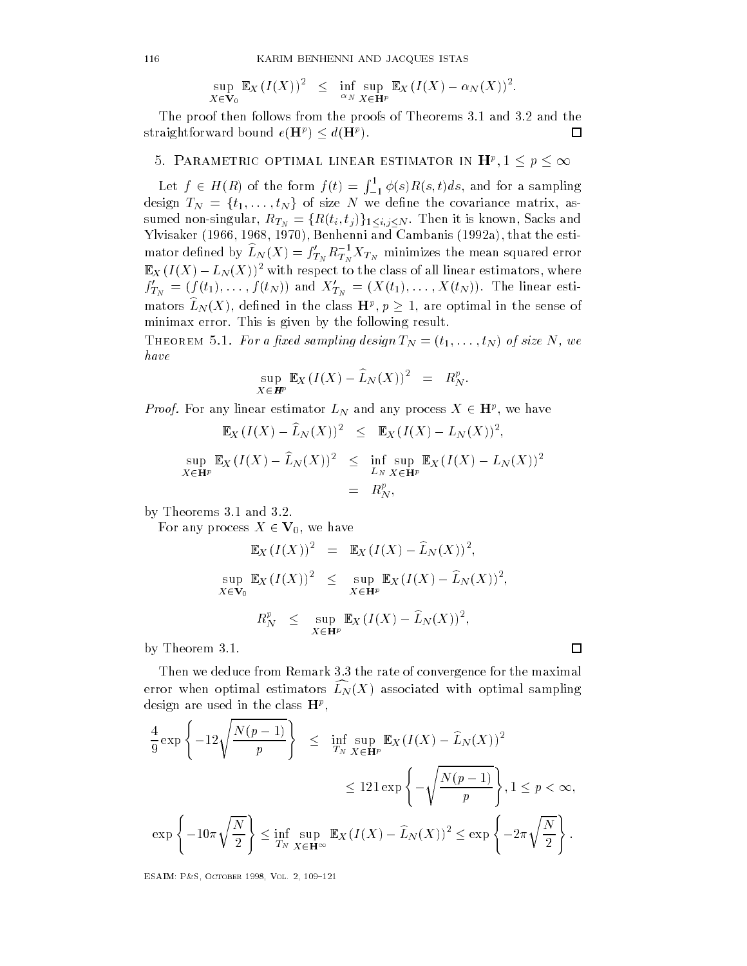$$
\sup_{X \in \mathbf{V}_0} \mathbb{E}_X (I(X))^2 \leq \inf_{\alpha_N} \sup_{X \in \mathbf{H}^p} \mathbb{E}_X (I(X) - \alpha_N(X))^2.
$$

The proof then follows from the proofs of Theorems 3.1 and 3.2 and the  $\Box$ straightforward bound  $e(\mathbf{H}^p) \leq d(\mathbf{H}^p)$ .

 $\vartheta$ . Farametric optimal linear estimator in  $\Pi^*, 1 \leq p \leq \infty$ 

Let  $f \in H(R)$  of the form  $f(t) = \int_{-1}^{1} \phi(s) R(s,t) ds$ , and for a sampling design  $T_N \ =\ \{t_1,\ldots,t_N\}$  of size  $N$  we define the covariance matrix, assumed non-singular,  $R_{T_N} = \{R(t_i, t_j)\}_{1\leq i,j\leq N}.$  Then it is known, Sacks and  $\mathcal{N}$  and  $\mathcal{N}$  and  $\mathcal{N}$  and  $\mathcal{N}$  and  $\mathcal{N}$  and  $\mathcal{N}$  and  $\mathcal{N}$  and  $\mathcal{N}$  and  $\mathcal{N}$  are estimated by  $\mathcal{N}$  and  $\mathcal{N}$  and  $\mathcal{N}$  are estimated by  $\mathcal{N}$  and  $\mathcal{N}$  are estimated by mator denned by  $L_N(\boldsymbol{A}) = \int_{T_N} R_{T_N} \lambda_{T_N}$  minimizes the mean squared error  $\mathbb{E}[X(T(X) - L_X(X))]$  with respect to the class of all linear estimators, where  $f_{T_N} \equiv (f(t_1), \ldots, f(t_N))$  and  $A_{T_N} \equiv (A(t_1), \ldots, A(t_N))$ . The finear estimators  $L_N(X)$ , defined in the class  $\mathbf{H}^p, p \geq 1$ , are optimal in the sense of minimax error. This is given by the following result.

**THEOREM J.I.** For a fixed sampling design  $I_N = (i_1, \ldots, i_N)$  of size iv, we have

$$
\sup_{X \in \mathbf{H}^p} \mathbb{E}_X (I(X) - \widehat{L}_N(X))^2 = R_N^p.
$$

*Proof.* For any linear estimator  $L_N$  and any process  $X \in \mathbf{H}^p$ , we have

$$
\mathbb{E}_X \left( I(X) - \widehat{L}_N(X) \right)^2 \leq \mathbb{E}_X \left( I(X) - L_N(X) \right)^2,
$$
  
\n
$$
\sup_{X \in \mathbf{H}^p} \mathbb{E}_X \left( I(X) - \widehat{L}_N(X) \right)^2 \leq \inf_{L_N} \sup_{X \in \mathbf{H}^p} \mathbb{E}_X \left( I(X) - L_N(X) \right)^2
$$

 $=$   $R_N^t$ ,

by Theorems  $3.1$  and  $3.2$ .

For any process  $X\in \mathbf{V}_0,$  we have

$$
\mathbb{E}_X(I(X))^2 = \mathbb{E}_X(I(X) - L_N(X))^2,
$$
  
\n
$$
\sup_{X \in \mathbf{V}_0} \mathbb{E}_X(I(X))^2 \le \sup_{X \in \mathbf{H}^p} \mathbb{E}_X(I(X) - \widehat{L}_N(X))^2,
$$
  
\n
$$
R_N^p \le \sup_{X \in \mathbf{H}^p} \mathbb{E}_X(I(X) - \widehat{L}_N(X))^2,
$$

by Theorem

Then we deduce from Remark 3.3 the rate of convergence for the maximal error when optimal estimators  $L_N(X)$  associated with optimal sampling design are used in the class  $\mathbf{H}^{p}.$   $\quad$ 

$$
\frac{4}{9} \exp \left\{-12\sqrt{\frac{N(p-1)}{p}}\right\} \leq \inf_{T_N} \sup_{X \in \mathbf{H}^p} \mathbb{E}_X (I(X) - \widehat{L}_N(X))^2
$$
  

$$
\leq 121 \exp \left\{-\sqrt{\frac{N(p-1)}{p}}\right\}, 1 \leq p < \infty,
$$
  

$$
\exp \left\{-10\pi\sqrt{\frac{N}{2}}\right\} \leq \inf_{T_N} \sup_{X \in \mathbf{H}^\infty} \mathbb{E}_X (I(X) - \widehat{L}_N(X))^2 \leq \exp \left\{-2\pi\sqrt{\frac{N}{2}}\right\}.
$$

ESAIM- PS October Vol 

$$
\qquad \qquad \Box
$$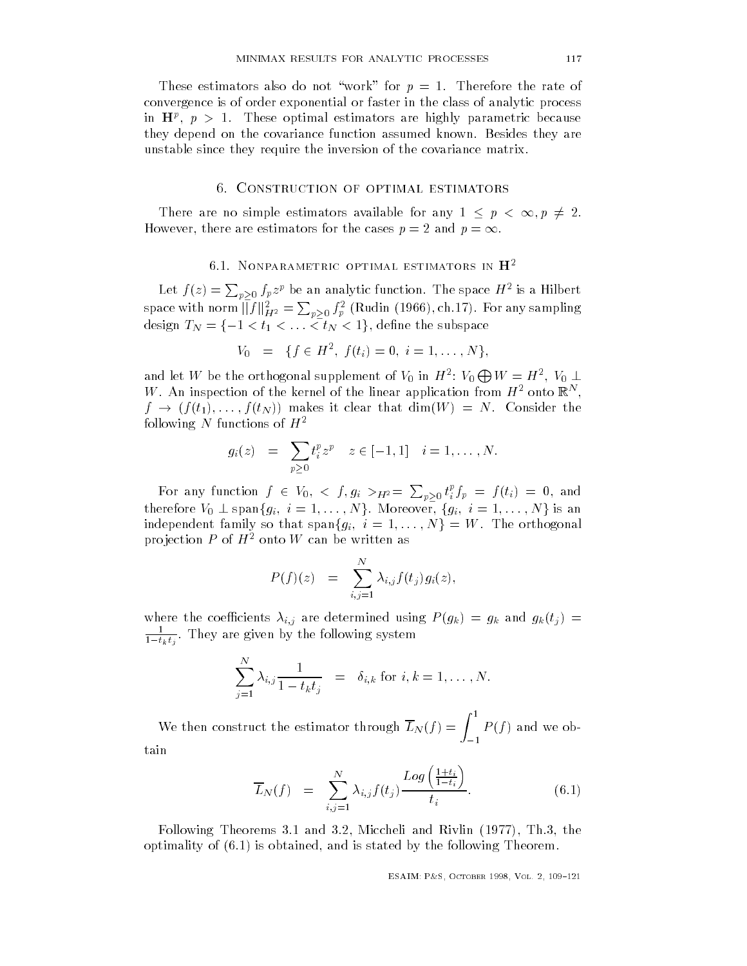These estimators also do not "work" for  $p = 1$ . Therefore the rate of convergence is of order exponential or faster in the class of analytic process in  $\mathbf{H}^{p}$ ,  $p > 1$ . These optimal estimators are highly parametric because they depend on the covariance function assumed known. Besides they are unstable since they require the inversion of the covariance matrix

## 6. CONSTRUCTION OF OPTIMAL ESTIMATORS

There are no simple estimators available for any  $1\,\leq\,p\,<\,\infty, p\,\neq\,2.$ However, there are estimators for the cases  $p = z$  and  $p = \infty$ .

## 6.1. NONPARAMETRIC OPTIMAL ESTIMATORS IN  $\mathrm{H}^2$

Let  $f(z) = \sum_{p>0} f_p z^p$  be an analytic function. The space  $H^2$  is a Hilbert space with norm  $||f||_{H^2}^2 = \sum_{p>0} f_p^2$  (Rudin (1966), ch.17). For any sampling design  $T_N = \{ -1 < t_1 < \ldots < t_N < 1 \},$  define the subspace

$$
V_0 = \{f \in H^2, f(t_i) = 0, i = 1, ..., N\},\
$$

and let  $W$  be the orthogonal supplement of  $V_0$  in  $H^2\colon V_0\bigoplus W=H^2,\ V_0\perp$  $W$  . An inspection of the kerner of the linear application from  $H$  -onto  $\mathbb{R}$  ,  $f \rightarrow (f(t_1), \ldots, f(t_N))$  makes it clear that dim $(W) = N$ . Consider the following N functions of  $H^2$ 

$$
g_i(z) = \sum_{p\geq 0} t_i^p z^p \quad z \in [-1, 1] \quad i = 1, ..., N.
$$

For any function  $f \in V_0$ ,  $\langle f, g_i \rangle_{H^2} = \sum_{p \geq 0} t_i^p f_p = f(t_i) = 0$ , and<br>therefore  $V_0 \perp \text{span}\{g_i, i = 1, ..., N\}$ . Moreover,  $\{g_i, i = 1, ..., N\}$  is an independent family so that  $\operatorname{span}\{g_i,\;i=1,\ldots,N\}=W.$  The orthogonal pro jection  $F$  of  $H$  -onto  $W$  can be written as

$$
P(f)(z) = \sum_{i,j=1}^N \lambda_{i,j} f(t_j) g_i(z),
$$

where the coefficients  $\lambda_{i,j}$  are determined using  $P(g_k) = g_k$  and  $g_k(t_j) =$  $\overline{t}$  . They are given by the following system tk til senere og store og store og store og store og store og store og store og store og store og store og sto

$$
\sum_{j=1}^{N} \lambda_{i,j} \frac{1}{1 - t_k t_j} = \delta_{i,k} \text{ for } i,k = 1, ..., N.
$$

We then construct the estimator through  $\overline{L}_N(f) = \int^1 P$  $\blacksquare$  for  $\blacksquare$  and  $\blacksquare$  . The contract of  $\blacksquare$ tain

$$
\overline{L}_N(f) = \sum_{i,j=1}^N \lambda_{i,j} f(t_j) \frac{Log\left(\frac{1+t_i}{1-t_i}\right)}{t_i}.
$$
\n(6.1)

Following Theorems and - Miccheli and Rivlin - Th- the optimative , and is obtained by the following the following Theorem .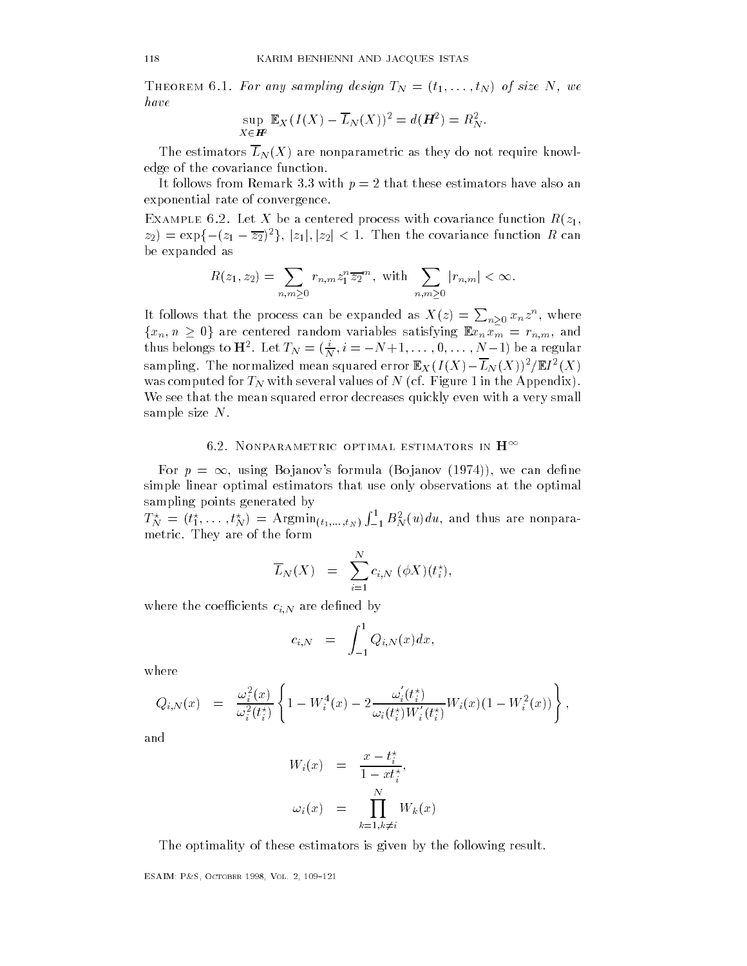**THEOREM** 0.1. For any sampling acsign  $I_N = \{i_1, \ldots, i_N\}$  of size  $N$ , we have

$$
\sup_{X \in \mathbf{H}^2} \mathbb{E}_X (I(X) - \overline{L}_N(X))^2 = d(\mathbf{H}^2) = R_N^2.
$$

The estimators  $\overline{L}_N(X)$  are nonparametric as they do not require knowledge of the covariance function

It follows from Remark 3.3 with  $p = 2$  that these estimators have also an exponential rate of convergence

EXAMPLE 0.2. Let  $X$  be a centered process with covariance function  $R(z)$ ,  $z_2) = \exp\{-(z_1 - \overline{z_2})^2\},\, |z_1|, |z_2| < 1.$  Then the covariance function  $R$  can be expanded as be expanded as a set of the control of the control of the control of the control of the control of the control of the control of the control of the control of the control of the control of the control of the control of the

$$
R(z_1, z_2) = \sum_{n,m \ge 0} r_{n,m} z_1^n \overline{z_2}^m, \text{ with } \sum_{n,m \ge 0} |r_{n,m}| < \infty.
$$

It follows that the process can be expanded as  $X(z) = \sum_{n\geq 0} x_n z^n,$  where  $\{x_{\,n},\,n\,\geq\,0\}$  are centered random variables satisfying  $\mathbb{E}x_{\,n}\,x_{\,m} \,=\, r_{\,n,\,m} \,,$  and thus belongs to  $\mathbf{H}^2$ . Let  $T_N=(\frac{\imath}{N},i=-N+1,\ldots,0,\ldots,N-1)$  be a regular sampling. The normalized mean squared error  $\mathbb{E} \chi(T(X) - L_N(X))$  /  $\mathbb{E} I^-(X)$ was computed for  $T_N$  with several values of N (cf. Figure 1 in the Appendix). We see that the mean squared error decreases quickly even with a very small sample size  $N$ .

#### 6.2. Nonparametric optimal estimators in  $\mathrm{H}^{\infty}$

For  $p = \infty$ , using Bojanov's formula (Bojanov (1974)), we can define simple linear optimal estimators that use only observations at the optimal sampling points generated by

 $T_{N}^{\star}$  =  $(t_{1}^{\star},\ldots,t_{N}^{\star})$  = Argmin $_{(t_{1},\ldots,t_{N})}$   $\int_{-1}^{1}B_{N}^{2}(u)du,$  and thus are nonparametric. They are of the form

$$
\overline{L}_N(X) = \sum_{i=1}^N c_{i,N} (\phi X)(t_i^*),
$$

where the coefficients  $c_{i,N}$  are defined by

$$
c_{i,N} = \int_{-1}^{1} Q_{i,N}(x) dx,
$$

where

$$
Q_{i,N}(x) = \frac{\omega_i^2(x)}{\omega_i^2(t_i^*)} \left\{ 1 - W_i^4(x) - 2 \frac{\omega_i'(t_i^*)}{\omega_i(t_i^*) W_i'(t_i^*)} W_i(x) (1 - W_i^2(x)) \right\},
$$

and

$$
W_i(x) = \frac{x - t_i^*}{1 - x t_i^*},
$$
  
\n
$$
\omega_i(x) = \prod_{k=1, k \neq i}^{N} W_k(x)
$$

The optimality of these estimators is given by the following result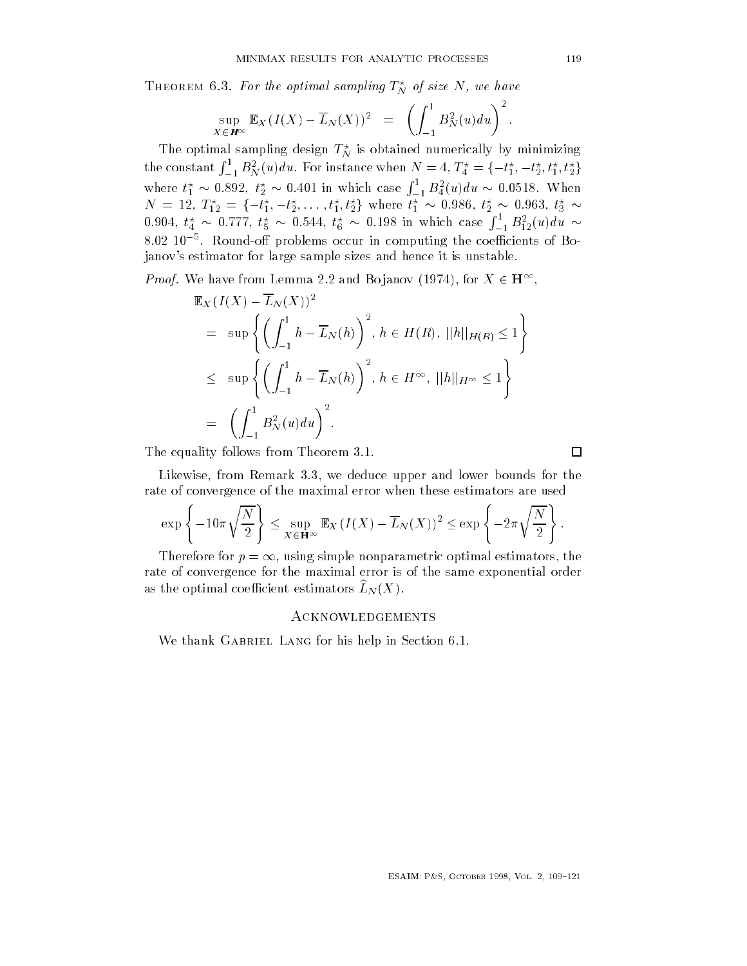**THEOREM** 0.3. For the optimal sampling  $I_N$  of size N, we have

$$
\sup_{X \in \mathbf{H}^{\infty}} \mathbb{E}_X (I(X) - \overline{L}_N(X))^2 = \left( \int_{-1}^1 B_N^2(u) du \right)^2.
$$

The optimal sampling design  $T_N^*$  is obtained numerically by minimizing the constant  $\int_{-1}^1 B_N^2(u)du$ . For instance when  $N=4$ ,  $T_4^\star=\{-t_1^\star, -t_2^\star, t_1^\star, t_2^\star\}$ where  $t_1^* \sim 0.892$ ,  $t_2^* \sim 0.401$  in which case  $\int_{-1}^{1} B_4^2(u) du \sim 0.0518$ . When  $N~=~12,~T_{12}^\star~=~\{-t_1^\star,-t_2^\star,\ldots,t_1^\star,t_2^\star\}$  where  $t_1^\star~\sim~0.986,~t_2^\star~\sim~0.963,~t_3^\star~\sim$  $0.904, t_4^* \sim 0.777, t_5^* \sim 0.544, t_6^* \sim 0.198$  in which case  $\int_{-1}^{1} B_{12}^2(u) du \sim$  $\delta$  0.4 TO  $\,$  . Thound-on problems occur in computing the coefficients of Bojanov's estimator for large sample sizes and hence it is unstable.

*Proof.* We have from Lemma 2.2 and Bojanov (1974), for  $X \in \mathbf{H}^{\infty}$ ,

$$
\mathbb{E}_X (I(X) - \overline{L}_N(X))^2
$$
\n
$$
= \sup \left\{ \left( \int_{-1}^1 h - \overline{L}_N(h) \right)^2, h \in H(R), ||h||_{H(R)} \le 1 \right\}
$$
\n
$$
\le \sup \left\{ \left( \int_{-1}^1 h - \overline{L}_N(h) \right)^2, h \in H^\infty, ||h||_{H^\infty} \le 1 \right\}
$$
\n
$$
= \left( \int_{-1}^1 B_N^2(u) du \right)^2.
$$

The equality follows from Theorem

Likewise- from Remark - we deduce upper and lower bounds for the rate of convergence of the maximal error when these estimators are used

$$
\exp\left\{-10\pi\sqrt{\frac{N}{2}}\right\} \leq \sup_{X\in\mathbf{H}^{\infty}} \mathbb{E}_X \left(I(X) - \overline{L}_N(X)\right)^2 \leq \exp\left\{-2\pi\sqrt{\frac{N}{2}}\right\}.
$$

Therefore for  $p = \infty$ , using simple nonparametric optimal estimators, the rate of convergence for the maximal error is of the same exponential order as the optimal coefficient estimators  $L_N(X)$ .

# **ACKNOWLEDGEMENTS**

We thank GABRIEL LANG for his help in Section 0.1.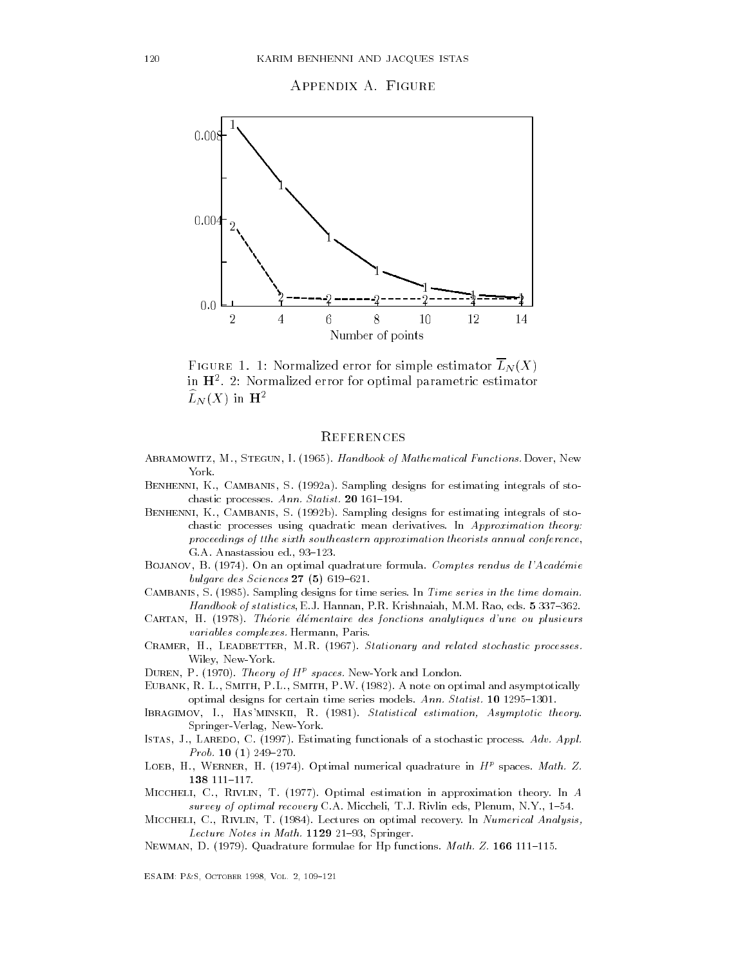# APPENDIX A. FIGURE



Figure 1. 1. Normalized error for simple estimator  $L_N(\Lambda)$ in  $\mathbf{H}^2$ . 2: Normalized error for optimal parametric estimator  $L_N(X)$  in  $\mathbf{H}^2$ 

### **REFERENCES**

- $\mathcal{A}$  and  $\mathcal{A}$  and  $\mathcal{A}$  and  $\mathcal{A}$  and  $\mathcal{A}$  and  $\mathcal{A}$  and  $\mathcal{A}$  and  $\mathcal{A}$  and  $\mathcal{A}$  and  $\mathcal{A}$  and  $\mathcal{A}$  and  $\mathcal{A}$  and  $\mathcal{A}$  and  $\mathcal{A}$  and  $\mathcal{A}$  and  $\mathcal{A}$  and  $\mathcal{A}$  and York.
- Benhenni K- Cambanis S- a- Sampling designs for estimating integrals of sto chastic processes- Ann- Statist- -
- $\Box$  is the cambridge of the cambridge integration in the cambridge integrals of stock  $\Box$ chastic processes using quadratic mean derivatives-  $\mathcal{U}$ proceedings of tthe sixth southeastern approximation theorists annual conference G-A- Anastassiou ed- -
- Bojanov B- - On an optimal quadrature formula- Comptes rendus de lAcademie  $\frac{1}{2}$  and  $\frac{1}{2}$  set  $\frac{1}{2}$  . The set  $\frac{1}{2}$  is the set of  $\frac{1}{2}$ .
- Cambanis S- - Sampling designs for time series- In Time series in the time domain-Handbook of statistics E-J- Hannan P-R- Krishnaiah M-M- Rao eds- -
- Cartan H- - Theorie elementaire des fonctions analytiques dune ou plusieurs variables complexes- Hermann Paris-
- $\mathcal{L}$  . The cramer H-cramer M-cramer and relations  $\mathcal{L}$ Wiley, New-York.
- DUREN, P. (1970). *Incory of H<sup>P</sup> spaces.* New-York and London.
- Eubank R- L- Smith P-L- Smith P-W- - A note on optimal and asymptotically optimal designs for certain time series models-series models-series models-series models-series models-series  $\mathbf{A}$
- Ibragimov I- Hasminskii R- - Statistical estimation Asymptotic theory-Springer-Verlag, New-York.
- $\blacksquare$  . The stationals of a stochastic process-definition of a stochastic process-definition of a stochastic process- $\mathcal{P}$  -  $\mathcal{P}$  -  $\mathcal{P}$  -  $\mathcal{P}$  -  $\mathcal{P}$  -  $\mathcal{P}$  -  $\mathcal{P}$  -  $\mathcal{P}$  -  $\mathcal{P}$  -  $\mathcal{P}$  -  $\mathcal{P}$  -  $\mathcal{P}$  -  $\mathcal{P}$  -  $\mathcal{P}$  -  $\mathcal{P}$  -  $\mathcal{P}$  -  $\mathcal{P}$  -  $\mathcal{P}$  -  $\mathcal{P}$  -  $\mathcal{P}$  -
- LOEB, п., wеклек, п. (1974). Optimal numerical quadrature in  $H^x$  spaces. *Math. 2.* 138 111-117.
- Miccheli C- Rivlin T- - Optimal estimation in approximation theory- In A survey of optimal recovery C-A- Miccheli T-J- Rivlin eds Plenum N-Y- -
- $\blacksquare$  riving the contract on optimal recovery-sector  $\blacksquare$ essent and the mathematic extra state particularly
- Newman D- - Quadrature formulae for Hp functions- Math- Z- -